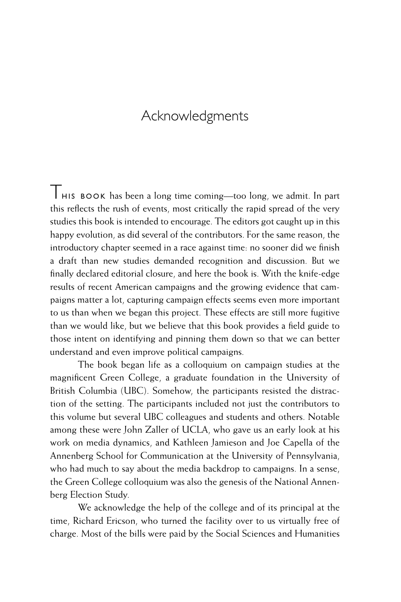## Acknowledgments

 $\top$  HIS BOOK has been a long time coming—too long, we admit. In part this reflects the rush of events, most critically the rapid spread of the very studies this book is intended to encourage. The editors got caught up in this happy evolution, as did several of the contributors. For the same reason, the introductory chapter seemed in a race against time: no sooner did we finish a draft than new studies demanded recognition and discussion. But we finally declared editorial closure, and here the book is. With the knife-edge results of recent American campaigns and the growing evidence that campaigns matter a lot, capturing campaign effects seems even more important to us than when we began this project. These effects are still more fugitive than we would like, but we believe that this book provides a field guide to those intent on identifying and pinning them down so that we can better understand and even improve political campaigns.

The book began life as a colloquium on campaign studies at the magnificent Green College, a graduate foundation in the University of British Columbia (UBC). Somehow, the participants resisted the distraction of the setting. The participants included not just the contributors to this volume but several UBC colleagues and students and others. Notable among these were John Zaller of UCLA, who gave us an early look at his work on media dynamics, and Kathleen Jamieson and Joe Capella of the Annenberg School for Communication at the University of Pennsylvania, who had much to say about the media backdrop to campaigns. In a sense, the Green College colloquium was also the genesis of the National Annenberg Election Study.

We acknowledge the help of the college and of its principal at the time, Richard Ericson, who turned the facility over to us virtually free of charge. Most of the bills were paid by the Social Sciences and Humanities